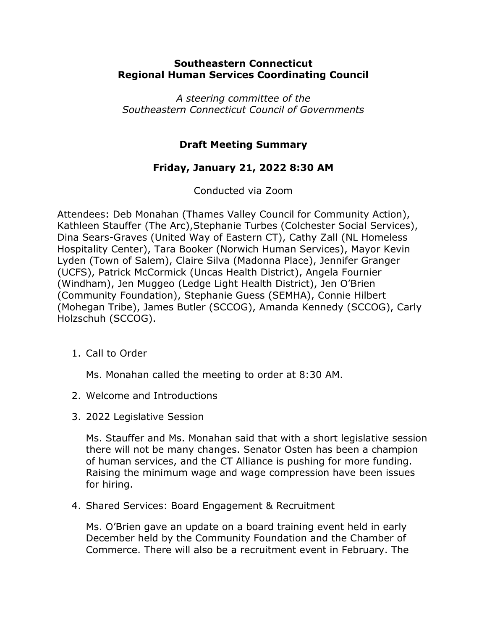## **Southeastern Connecticut Regional Human Services Coordinating Council**

*A steering committee of the Southeastern Connecticut Council of Governments*

## **Draft Meeting Summary**

## **Friday, January 21, 2022 8:30 AM**

Conducted via Zoom

Attendees: Deb Monahan (Thames Valley Council for Community Action), Kathleen Stauffer (The Arc),Stephanie Turbes (Colchester Social Services), Dina Sears-Graves (United Way of Eastern CT), Cathy Zall (NL Homeless Hospitality Center), Tara Booker (Norwich Human Services), Mayor Kevin Lyden (Town of Salem), Claire Silva (Madonna Place), Jennifer Granger (UCFS), Patrick McCormick (Uncas Health District), Angela Fournier (Windham), Jen Muggeo (Ledge Light Health District), Jen O'Brien (Community Foundation), Stephanie Guess (SEMHA), Connie Hilbert (Mohegan Tribe), James Butler (SCCOG), Amanda Kennedy (SCCOG), Carly Holzschuh (SCCOG).

1. Call to Order

Ms. Monahan called the meeting to order at 8:30 AM.

- 2. Welcome and Introductions
- 3. 2022 Legislative Session

Ms. Stauffer and Ms. Monahan said that with a short legislative session there will not be many changes. Senator Osten has been a champion of human services, and the CT Alliance is pushing for more funding. Raising the minimum wage and wage compression have been issues for hiring.

4. Shared Services: Board Engagement & Recruitment

Ms. O'Brien gave an update on a board training event held in early December held by the Community Foundation and the Chamber of Commerce. There will also be a recruitment event in February. The